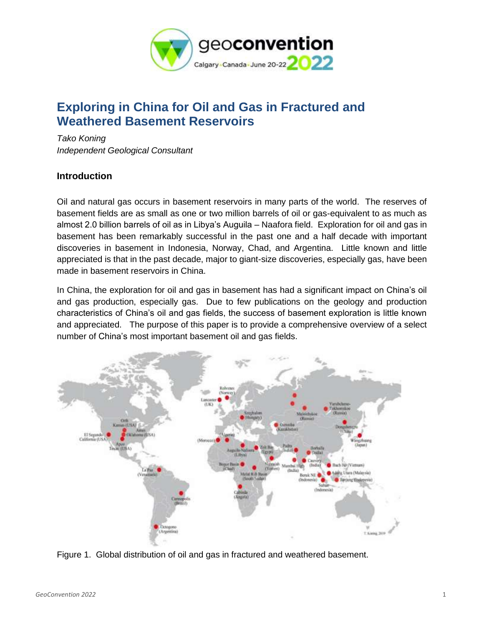

# **Exploring in China for Oil and Gas in Fractured and Weathered Basement Reservoirs**

*Tako Koning Independent Geological Consultant*

# **Introduction**

Oil and natural gas occurs in basement reservoirs in many parts of the world. The reserves of basement fields are as small as one or two million barrels of oil or gas-equivalent to as much as almost 2.0 billion barrels of oil as in Libya's Auguila – Naafora field. Exploration for oil and gas in basement has been remarkably successful in the past one and a half decade with important discoveries in basement in Indonesia, Norway, Chad, and Argentina. Little known and little appreciated is that in the past decade, major to giant-size discoveries, especially gas, have been made in basement reservoirs in China.

In China, the exploration for oil and gas in basement has had a significant impact on China's oil and gas production, especially gas. Due to few publications on the geology and production characteristics of China's oil and gas fields, the success of basement exploration is little known and appreciated. The purpose of this paper is to provide a comprehensive overview of a select number of China's most important basement oil and gas fields.



Figure 1. Global distribution of oil and gas in fractured and weathered basement.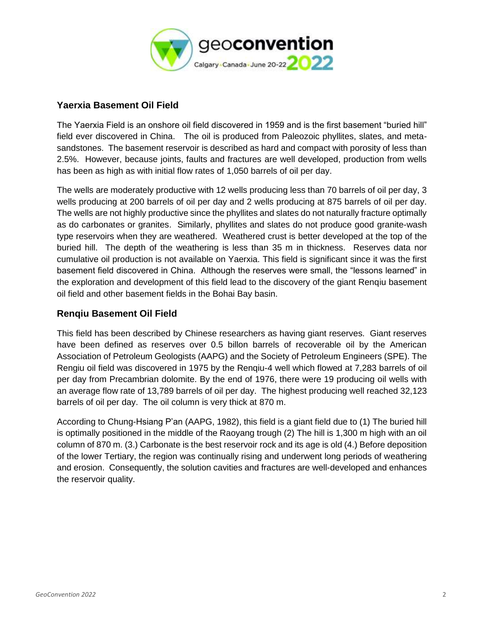

#### **Yaerxia Basement Oil Field**

The Yaerxia Field is an onshore oil field discovered in 1959 and is the first basement "buried hill" field ever discovered in China. The oil is produced from Paleozoic phyllites, slates, and metasandstones. The basement reservoir is described as hard and compact with porosity of less than 2.5%. However, because joints, faults and fractures are well developed, production from wells has been as high as with initial flow rates of 1,050 barrels of oil per day.

The wells are moderately productive with 12 wells producing less than 70 barrels of oil per day, 3 wells producing at 200 barrels of oil per day and 2 wells producing at 875 barrels of oil per day. The wells are not highly productive since the phyllites and slates do not naturally fracture optimally as do carbonates or granites. Similarly, phyllites and slates do not produce good granite-wash type reservoirs when they are weathered. Weathered crust is better developed at the top of the buried hill. The depth of the weathering is less than 35 m in thickness. Reserves data nor cumulative oil production is not available on Yaerxia. This field is significant since it was the first basement field discovered in China. Although the reserves were small, the "lessons learned" in the exploration and development of this field lead to the discovery of the giant Renqiu basement oil field and other basement fields in the Bohai Bay basin.

#### **Renqiu Basement Oil Field**

This field has been described by Chinese researchers as having giant reserves. Giant reserves have been defined as reserves over 0.5 billon barrels of recoverable oil by the American Association of Petroleum Geologists (AAPG) and the Society of Petroleum Engineers (SPE). The Rengiu oil field was discovered in 1975 by the Renqiu-4 well which flowed at 7,283 barrels of oil per day from Precambrian dolomite. By the end of 1976, there were 19 producing oil wells with an average flow rate of 13,789 barrels of oil per day. The highest producing well reached 32,123 barrels of oil per day. The oil column is very thick at 870 m.

According to Chung-Hsiang P'an (AAPG, 1982), this field is a giant field due to (1) The buried hill is optimally positioned in the middle of the Raoyang trough (2) The hill is 1,300 m high with an oil column of 870 m. (3.) Carbonate is the best reservoir rock and its age is old (4.) Before deposition of the lower Tertiary, the region was continually rising and underwent long periods of weathering and erosion. Consequently, the solution cavities and fractures are well-developed and enhances the reservoir quality.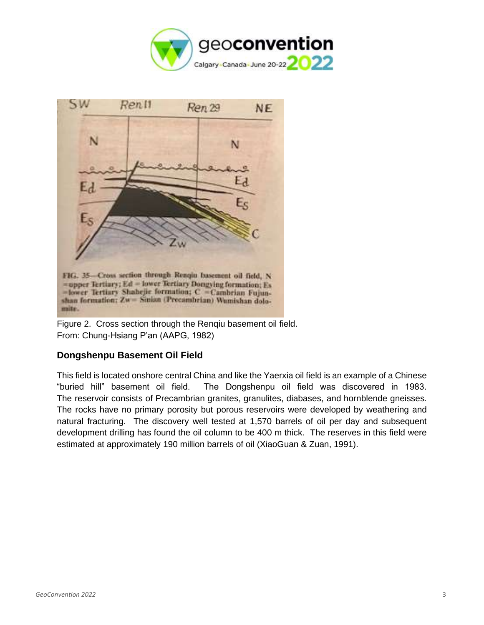



Figure 2. Cross section through the Renqiu basement oil field. From: Chung-Hsiang P'an (AAPG, 1982)

# **Dongshenpu Basement Oil Field**

This field is located onshore central China and like the Yaerxia oil field is an example of a Chinese "buried hill" basement oil field. The Dongshenpu oil field was discovered in 1983. The reservoir consists of Precambrian granites, granulites, diabases, and hornblende gneisses. The rocks have no primary porosity but porous reservoirs were developed by weathering and natural fracturing. The discovery well tested at 1,570 barrels of oil per day and subsequent development drilling has found the oil column to be 400 m thick. The reserves in this field were estimated at approximately 190 million barrels of oil (XiaoGuan & Zuan, 1991).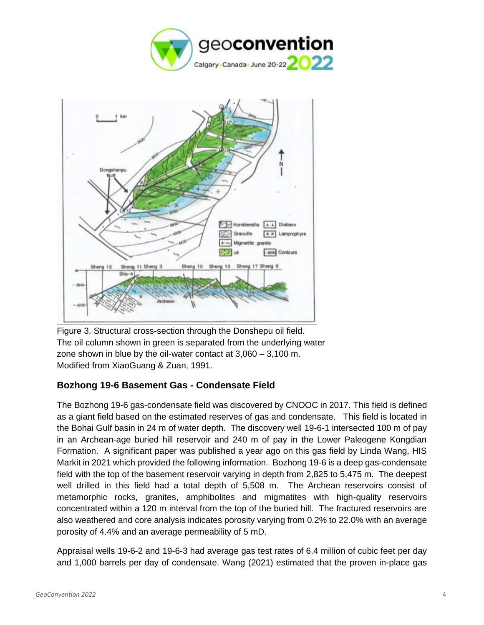



Figure 3. Structural cross-section through the Donshepu oil field. The oil column shown in green is separated from the underlying water zone shown in blue by the oil-water contact at 3,060 – 3,100 m. Modified from XiaoGuang & Zuan, 1991.

# **Bozhong 19-6 Basement Gas - Condensate Field**

The Bozhong 19-6 gas-condensate field was discovered by CNOOC in 2017. This field is defined as a giant field based on the estimated reserves of gas and condensate. This field is located in the Bohai Gulf basin in 24 m of water depth. The discovery well 19-6-1 intersected 100 m of pay in an Archean-age buried hill reservoir and 240 m of pay in the Lower Paleogene Kongdian Formation. A significant paper was published a year ago on this gas field by Linda Wang, HIS Markit in 2021 which provided the following information. Bozhong 19-6 is a deep gas-condensate field with the top of the basement reservoir varying in depth from 2,825 to 5,475 m. The deepest well drilled in this field had a total depth of 5,508 m. The Archean reservoirs consist of metamorphic rocks, granites, amphibolites and migmatites with high-quality reservoirs concentrated within a 120 m interval from the top of the buried hill. The fractured reservoirs are also weathered and core analysis indicates porosity varying from 0.2% to 22.0% with an average porosity of 4.4% and an average permeability of 5 mD.

Appraisal wells 19-6-2 and 19-6-3 had average gas test rates of 6.4 million of cubic feet per day and 1,000 barrels per day of condensate. Wang (2021) estimated that the proven in-place gas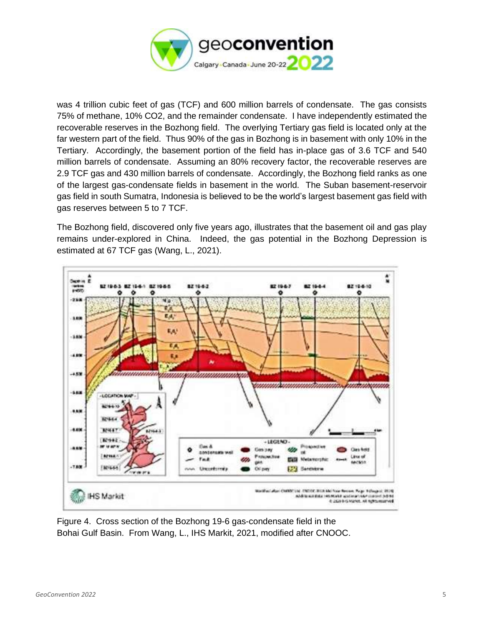

was 4 trillion cubic feet of gas (TCF) and 600 million barrels of condensate. The gas consists 75% of methane, 10% CO2, and the remainder condensate. I have independently estimated the recoverable reserves in the Bozhong field. The overlying Tertiary gas field is located only at the far western part of the field. Thus 90% of the gas in Bozhong is in basement with only 10% in the Tertiary. Accordingly, the basement portion of the field has in-place gas of 3.6 TCF and 540 million barrels of condensate. Assuming an 80% recovery factor, the recoverable reserves are 2.9 TCF gas and 430 million barrels of condensate. Accordingly, the Bozhong field ranks as one of the largest gas-condensate fields in basement in the world. The Suban basement-reservoir gas field in south Sumatra, Indonesia is believed to be the world's largest basement gas field with gas reserves between 5 to 7 TCF.

The Bozhong field, discovered only five years ago, illustrates that the basement oil and gas play remains under-explored in China. Indeed, the gas potential in the Bozhong Depression is estimated at 67 TCF gas (Wang, L., 2021).



Figure 4. Cross section of the Bozhong 19-6 gas-condensate field in the Bohai Gulf Basin. From Wang, L., IHS Markit, 2021, modified after CNOOC.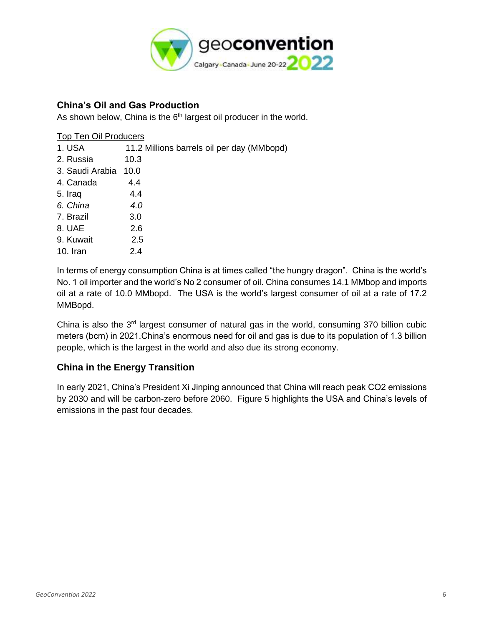

## **China's Oil and Gas Production**

As shown below, China is the  $6<sup>th</sup>$  largest oil producer in the world.

#### Top Ten Oil Producers

| 1. USA          | 11.2 Millions barrels oil per day (MMbopd) |
|-----------------|--------------------------------------------|
| 2. Russia       | 10.3                                       |
| 3. Saudi Arabia | 10.0                                       |
| 4. Canada       | 4.4                                        |
| 5. Iraq         | 4.4                                        |
| 6. China        | 4.0                                        |
| 7. Brazil       | 3.0                                        |
| 8. UAE          | 2.6                                        |
| 9. Kuwait       | 2.5                                        |
| 10. Iran        | 2.4                                        |
|                 |                                            |

In terms of energy consumption China is at times called "the hungry dragon". China is the world's No. 1 oil importer and the world's No 2 consumer of oil. China consumes 14.1 MMbop and imports oil at a rate of 10.0 MMbopd. The USA is the world's largest consumer of oil at a rate of 17.2 MMBopd.

China is also the 3rd largest consumer of natural gas in the world, consuming 370 billion cubic meters (bcm) in 2021.China's enormous need for oil and gas is due to its population of 1.3 billion people, which is the largest in the world and also due its strong economy.

## **China in the Energy Transition**

In early 2021, China's President Xi Jinping announced that China will reach peak CO2 emissions by 2030 and will be carbon-zero before 2060. Figure 5 highlights the USA and China's levels of emissions in the past four decades.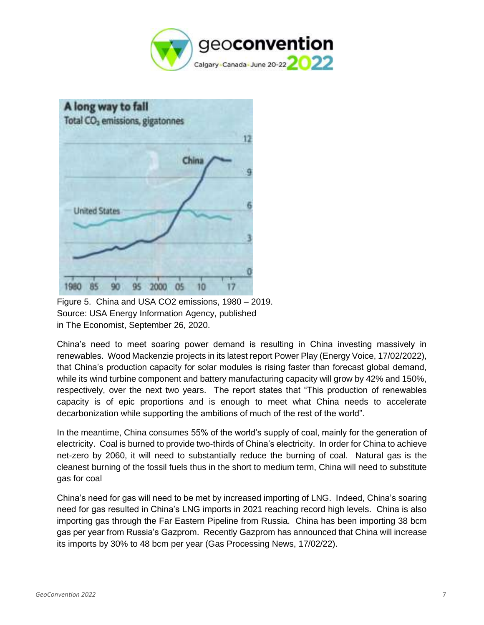



Figure 5. China and USA CO2 emissions, 1980 – 2019. Source: USA Energy Information Agency, published in The Economist, September 26, 2020.

China's need to meet soaring power demand is resulting in China investing massively in renewables. Wood Mackenzie projects in its latest report Power Play (Energy Voice, 17/02/2022), that China's production capacity for solar modules is rising faster than forecast global demand, while its wind turbine component and battery manufacturing capacity will grow by 42% and 150%, respectively, over the next two years. The report states that "This production of renewables capacity is of epic proportions and is enough to meet what China needs to accelerate decarbonization while supporting the ambitions of much of the rest of the world".

In the meantime, China consumes 55% of the world's supply of coal, mainly for the generation of electricity. Coal is burned to provide two-thirds of China's electricity. In order for China to achieve net-zero by 2060, it will need to substantially reduce the burning of coal. Natural gas is the cleanest burning of the fossil fuels thus in the short to medium term, China will need to substitute gas for coal

China's need for gas will need to be met by increased importing of LNG. Indeed, China's soaring need for gas resulted in China's LNG imports in 2021 reaching record high levels. China is also importing gas through the Far Eastern Pipeline from Russia. China has been importing 38 bcm gas per year from Russia's Gazprom. Recently Gazprom has announced that China will increase its imports by 30% to 48 bcm per year (Gas Processing News, 17/02/22).